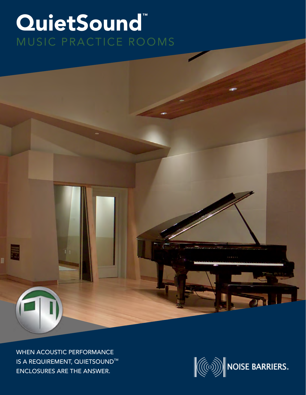## QuietSound™ MUSIC PRACTICE ROOMS

WHEN ACOUSTIC PERFORMANCE **IS A REQUIREMENT, QUIETSOUND™** ENCLOSURES ARE THE ANSWER.

ı.

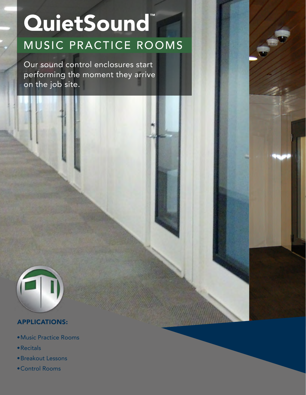# QuietSound™ MUSIC PRACTICE ROOMS

Our sound control enclosures start performing the moment they arrive on the job site.



### APPLICATIONS:

- •Music Practice Rooms
- •Recitals
- •Breakout Lessons
- •Control Rooms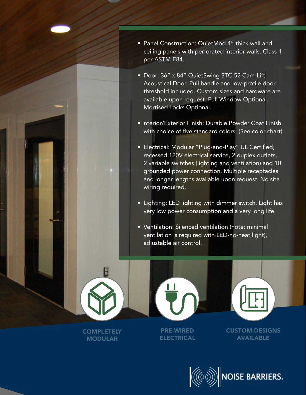- Panel Construction: QuietMod 4" thick wall and ceiling panels with perforated interior walls. Class 1 per ASTM E84.
- Door: 36" x 84" QuietSwing STC 52 Cam-Lift Acoustical Door. Pull handle and low-profile door threshold included. Custom sizes and hardware are available upon request. Full Window Optional. Mortised Locks Optional.
- Interior/Exterior Finish: Durable Powder Coat Finish with choice of five standard colors. (See color chart)
- Electrical: Modular "Plug-and-Play" UL Certified, recessed 120V electrical service, 2 duplex outlets, 2 variable switches (lighting and ventilation) and 10' grounded power connection. Multiple receptacles and longer lengths available upon request. No site wiring required.
- Lighting: LED lighting with dimmer switch. Light has very low power consumption and a very long life.
- Ventilation: Silenced ventilation (note: minimal ventilation is required with LED-no-heat light), adjustable air control.

**COMPLETELY MODULAR** 

H



PRE-WIRED ELECTRICAL



CUSTOM DESIGNS AVAILABLE